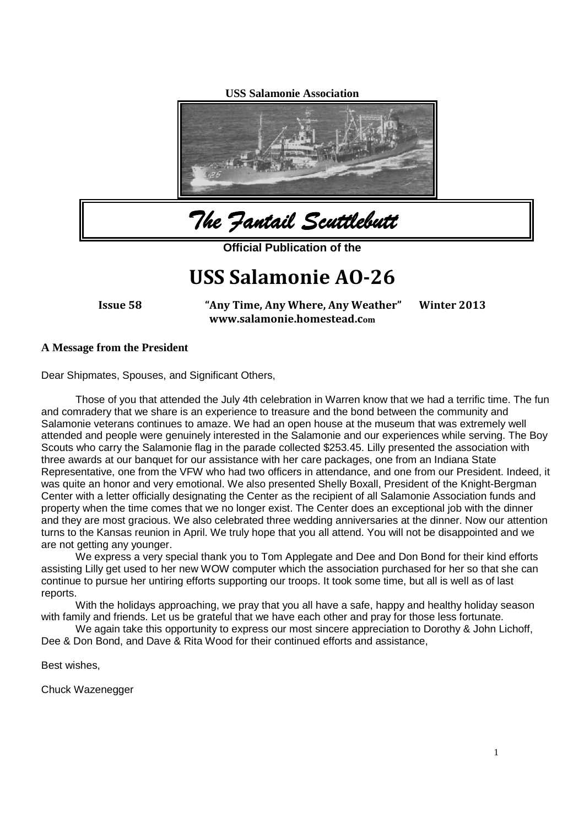**USS Salamonie Association**



*The Fantail Scuttlebutt*

**Official Publication of the**

# **USS Salamonie AO-26**

**Issue 58 "Any Time, Any Where, Any Weather" Winter 2013 www.salamonie.homestead.com**

#### **A Message from the President**

Dear Shipmates, Spouses, and Significant Others,

Those of you that attended the July 4th celebration in Warren know that we had a terrific time. The fun and comradery that we share is an experience to treasure and the bond between the community and Salamonie veterans continues to amaze. We had an open house at the museum that was extremely well attended and people were genuinely interested in the Salamonie and our experiences while serving. The Boy Scouts who carry the Salamonie flag in the parade collected \$253.45. Lilly presented the association with three awards at our banquet for our assistance with her care packages, one from an Indiana State Representative, one from the VFW who had two officers in attendance, and one from our President. Indeed, it was quite an honor and very emotional. We also presented Shelly Boxall, President of the Knight-Bergman Center with a letter officially designating the Center as the recipient of all Salamonie Association funds and property when the time comes that we no longer exist. The Center does an exceptional job with the dinner and they are most gracious. We also celebrated three wedding anniversaries at the dinner. Now our attention turns to the Kansas reunion in April. We truly hope that you all attend. You will not be disappointed and we are not getting any younger.

We express a very special thank you to Tom Applegate and Dee and Don Bond for their kind efforts assisting Lilly get used to her new WOW computer which the association purchased for her so that she can continue to pursue her untiring efforts supporting our troops. It took some time, but all is well as of last reports.

With the holidays approaching, we pray that you all have a safe, happy and healthy holiday season with family and friends. Let us be grateful that we have each other and pray for those less fortunate.

We again take this opportunity to express our most sincere appreciation to Dorothy & John Lichoff, Dee & Don Bond, and Dave & Rita Wood for their continued efforts and assistance,

Best wishes,

Chuck Wazenegger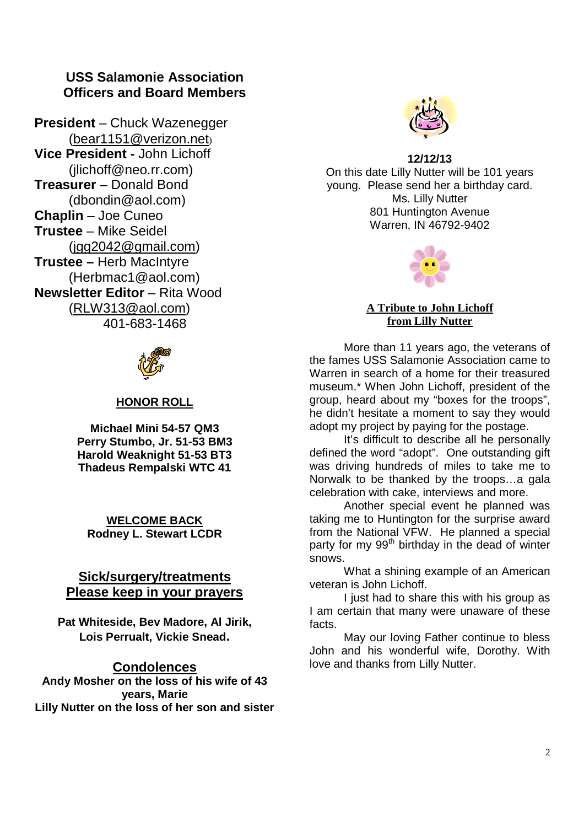# **USS Salamonie Association Officers and Board Members**

**President** – Chuck Wazenegger (bear1151@verizon.net) **Vice President -** John Lichoff (jlichoff@neo.rr.com) **Treasurer** – Donald Bond (dbondin@aol.com) **Chaplin** – Joe Cuneo **Trustee** – Mike Seidel (jgg2042@gmail.com) **Trustee –** Herb MacIntyre (Herbmac1@aol.com) **Newsletter Editor** – Rita Wood (RLW313@aol.com) 401-683-1468



# **HONOR ROLL**

**Michael Mini 54-57 QM3 Perry Stumbo, Jr. 51-53 BM3 Harold Weaknight 51-53 BT3 Thadeus Rempalski WTC 41**

**WELCOME BACK Rodney L. Stewart LCDR**

# **Sick/surgery/treatments Please keep in your prayers**

**Pat Whiteside, Bev Madore, Al Jirik, Lois Perrualt, Vickie Snead.**

### **Condolences**

**Andy Mosher on the loss of his wife of 43 years, Marie Lilly Nutter on the loss of her son and sister**



**12/12/13** On this date Lilly Nutter will be 101 years young. Please send her a birthday card. Ms. Lilly Nutter 801 Huntington Avenue Warren, IN 46792-9402



#### **A Tribute to John Lichoff from Lilly Nutter**

More than 11 years ago, the veterans of the fames USS Salamonie Association came to Warren in search of a home for their treasured museum.\* When John Lichoff, president of the group, heard about my "boxes for the troops", he didn't hesitate a moment to say they would adopt my project by paying for the postage.

It's difficult to describe all he personally defined the word "adopt". One outstanding gift was driving hundreds of miles to take me to Norwalk to be thanked by the troops…a gala celebration with cake, interviews and more.

Another special event he planned was taking me to Huntington for the surprise award from the National VFW. He planned a special party for my 99<sup>th</sup> birthday in the dead of winter snows.

What a shining example of an American veteran is John Lichoff.

I just had to share this with his group as I am certain that many were unaware of these facts.

May our loving Father continue to bless John and his wonderful wife, Dorothy. With love and thanks from Lilly Nutter.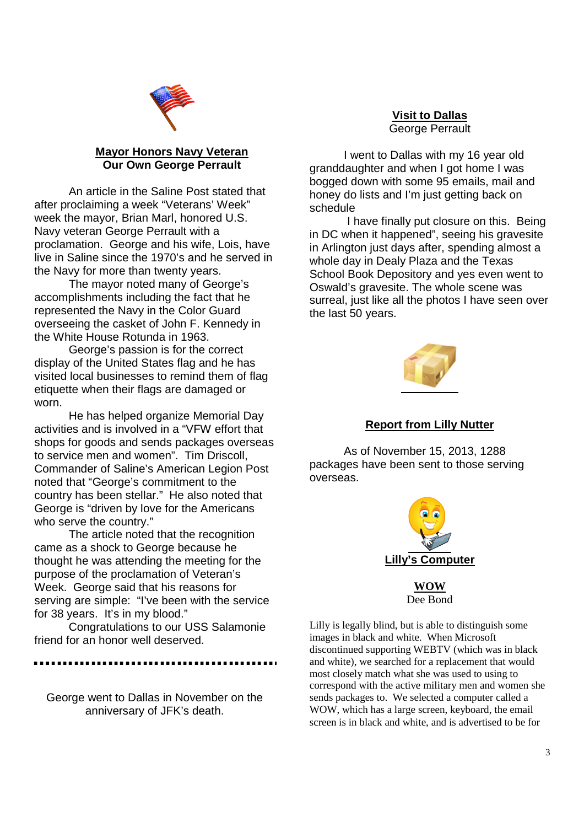

#### **Mayor Honors Navy Veteran Our Own George Perrault**

An article in the Saline Post stated that after proclaiming a week "Veterans' Week" week the mayor, Brian Marl, honored U.S. Navy veteran George Perrault with a proclamation. George and his wife, Lois, have live in Saline since the 1970's and he served in the Navy for more than twenty years.

The mayor noted many of George's accomplishments including the fact that he represented the Navy in the Color Guard overseeing the casket of John F. Kennedy in the White House Rotunda in 1963.

George's passion is for the correct display of the United States flag and he has visited local businesses to remind them of flag etiquette when their flags are damaged or worn.

He has helped organize Memorial Day activities and is involved in a "VFW effort that shops for goods and sends packages overseas to service men and women". Tim Driscoll, Commander of Saline's American Legion Post noted that "George's commitment to the country has been stellar." He also noted that George is "driven by love for the Americans who serve the country."

The article noted that the recognition came as a shock to George because he thought he was attending the meeting for the purpose of the proclamation of Veteran's Week. George said that his reasons for serving are simple: "I've been with the service for 38 years. It's in my blood."

Congratulations to our USS Salamonie friend for an honor well deserved.

...........................

George went to Dallas in November on the anniversary of JFK's death.

#### **Visit to Dallas** George Perrault

I went to Dallas with my 16 year old granddaughter and when I got home I was bogged down with some 95 emails, mail and honey do lists and I'm just getting back on schedule

I have finally put closure on this. Being in DC when it happened", seeing his gravesite in Arlington just days after, spending almost a whole day in Dealy Plaza and the Texas School Book Depository and yes even went to Oswald's gravesite. The whole scene was surreal, just like all the photos I have seen over the last 50 years.



#### **Report from Lilly Nutter**

As of November 15, 2013, 1288 packages have been sent to those serving overseas.



**WOW** Dee Bond

Lilly is legally blind, but is able to distinguish some images in black and white. When Microsoft discontinued supporting WEBTV (which was in black and white), we searched for a replacement that would most closely match what she was used to using to correspond with the active military men and women she sends packages to. We selected a computer called a WOW, which has a large screen, keyboard, the email screen is in black and white, and is advertised to be for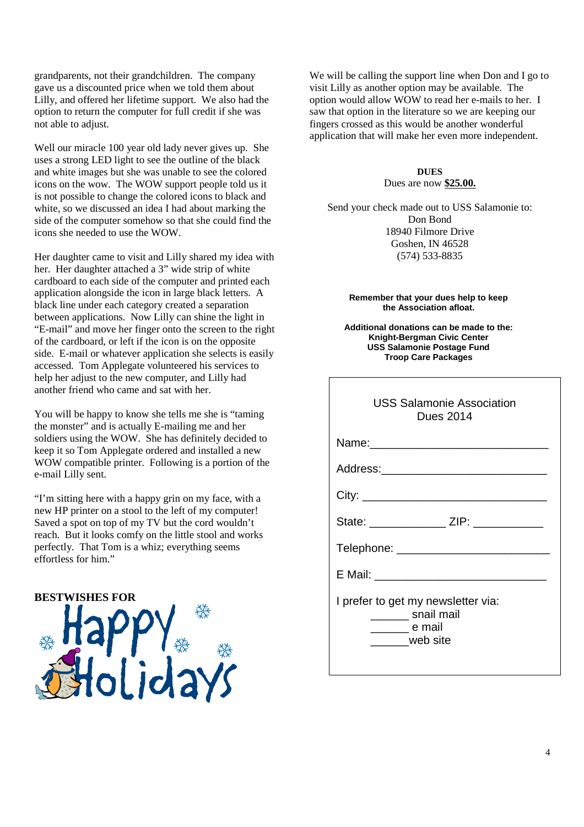grandparents, not their grandchildren. The company gave us a discounted price when we told them about Lilly, and offered her lifetime support. We also had the option to return the computer for full credit if she was not able to adjust.

Well our miracle 100 year old lady never gives up. She uses a strong LED light to see the outline of the black and white images but she was unable to see the colored icons on the wow. The WOW support people told us it is not possible to change the colored icons to black and white, so we discussed an idea I had about marking the side of the computer somehow so that she could find the icons she needed to use the WOW.

Her daughter came to visit and Lilly shared my idea with her. Her daughter attached a 3" wide strip of white cardboard to each side of the computer and printed each application alongside the icon in large black letters. A black line under each category created a separation between applications. Now Lilly can shine the light in "E-mail" and move her finger onto the screen to the right of the cardboard, or left if the icon is on the opposite side. E-mail or whatever application she selects is easily accessed. Tom Applegate volunteered his services to help her adjust to the new computer, and Lilly had another friend who came and sat with her.

You will be happy to know she tells me she is "taming the monster" and is actually E-mailing me and her soldiers using the WOW. She has definitely decided to keep it so Tom Applegate ordered and installed a new WOW compatible printer. Following is a portion of the e-mail Lilly sent.

"I'm sitting here with a happy grin on my face, with a new HP printer on a stool to the left of my computer! Saved a spot on top of my TV but the cord wouldn't reach. But it looks comfy on the little stool and works perfectly. That Tom is a whiz; everything seems effortless for him."

#### **BESTWISHES FOR**



We will be calling the support line when Don and I go to visit Lilly as another option may be available. The option would allow WOW to read her e-mails to her. I saw that option in the literature so we are keeping our fingers crossed as this would be another wonderful application that will make her even more independent.

> **DUES** Dues are now **\$25.00.**

Send your check made out to USS Salamonie to: Don Bond 18940 Filmore Drive Goshen, IN 46528 (574) 533-8835

#### **Remember that your dues help to keep the Association afloat.**

**Additional donations can be made to the: Knight-Bergman Civic Center USS Salamonie Postage Fund Troop Care Packages**

| <b>USS Salamonie Association</b><br><b>Dues 2014</b>                           |
|--------------------------------------------------------------------------------|
|                                                                                |
|                                                                                |
|                                                                                |
| State: _______________ ZIP: ___________                                        |
| Telephone: _____________________                                               |
|                                                                                |
| I prefer to get my newsletter via:<br>_______ snail mail<br>e mail<br>web site |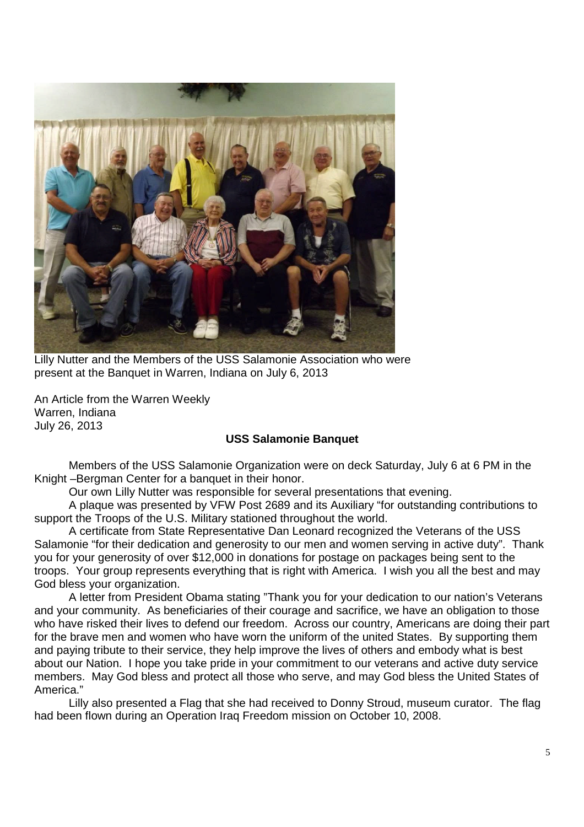

Lilly Nutter and the Members of the USS Salamonie Association who were present at the Banquet in Warren, Indiana on July 6, 2013

An Article from the Warren Weekly Warren, Indiana July 26, 2013

#### **USS Salamonie Banquet**

Members of the USS Salamonie Organization were on deck Saturday, July 6 at 6 PM in the Knight –Bergman Center for a banquet in their honor.

Our own Lilly Nutter was responsible for several presentations that evening.

A plaque was presented by VFW Post 2689 and its Auxiliary "for outstanding contributions to support the Troops of the U.S. Military stationed throughout the world.

A certificate from State Representative Dan Leonard recognized the Veterans of the USS Salamonie "for their dedication and generosity to our men and women serving in active duty". Thank you for your generosity of over \$12,000 in donations for postage on packages being sent to the troops. Your group represents everything that is right with America. I wish you all the best and may God bless your organization.

A letter from President Obama stating "Thank you for your dedication to our nation's Veterans and your community. As beneficiaries of their courage and sacrifice, we have an obligation to those who have risked their lives to defend our freedom. Across our country, Americans are doing their part for the brave men and women who have worn the uniform of the united States. By supporting them and paying tribute to their service, they help improve the lives of others and embody what is best about our Nation. I hope you take pride in your commitment to our veterans and active duty service members. May God bless and protect all those who serve, and may God bless the United States of America."

Lilly also presented a Flag that she had received to Donny Stroud, museum curator. The flag had been flown during an Operation Iraq Freedom mission on October 10, 2008.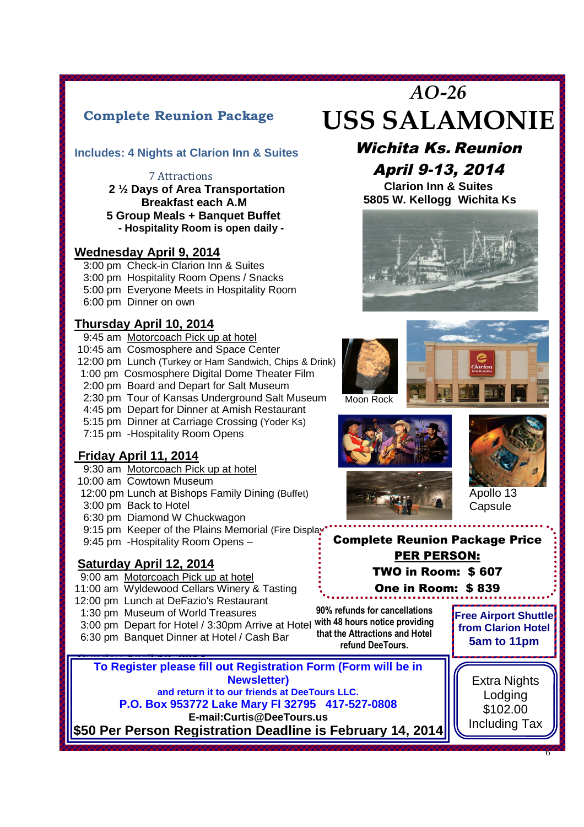# **Complete Reunion Package**

# **Includes: 4 Nights at Clarion Inn & Suites**

#### 7 Attractions

**2 ½ Days of Area Transportation Breakfast each A.M 5 Group Meals + Banquet Buffet - Hospitality Room is open daily -**

### **Wednesday April 9, 2014**

3:00 pm Check-in Clarion Inn & Suites 3:00 pm Hospitality Room Opens / Snacks 5:00 pm Everyone Meets in Hospitality Room 6:00 pm Dinner on own

# **Thursday April 10, 2014**

12:00 pm Lunch (Turkey or Ham Sandwich, Chips & Drink)<br>1:00 pm Cosmosphere Digital Dome Theater Film 9:45 am Motorcoach Pick up at hotel 10:45 am Cosmosphere and Space Center 1:00 pm Cosmosphere Digital Dome Theater Film 2:00 pm Board and Depart for Salt Museum 2:30 pm Tour of Kansas Underground Salt Museum 4:45 pm Depart for Dinner at Amish Restaurant 5:15 pm Dinner at Carriage Crossing (Yoder Ks) 7:15 pm -Hospitality Room Opens

# **Friday April 11, 2014**

- 9:30 am Motorcoach Pick up at hotel
- 10:00 am Cowtown Museum
- 12:00 pm Lunch at Bishops Family Dining (Buffet)
- 3:00 pm Back to Hotel
- 6:30 pm Diamond W Chuckwagon

9:15 pm Keeper of the Plains Memorial (Fire Display

9:45 pm -Hospitality Room Opens –

# **Saturday April 12, 2014**

- 9:00 am Motorcoach Pick up at hotel
- 11:00 am Wyldewood Cellars Winery & Tasting
- 12:00 pm Lunch at DeFazio's Restaurant
- 1:30 pm Museum of World Treasures
- 3:00 pm Depart for Hotel / 3:30pm Arrive at Hotel **with 48 hours notice providing** 6:30 pm Banquet Dinner at Hotel / Cash Bar
- 

# *AO-26* **USS SALAMONIE**

# Wichita Ks. Reunion April 9-13, 2014

**Clarion Inn & Suites 5805 W. Kellogg Wichita Ks**











# Complete Reunion Package Price PER PERSON: TWO in Room: \$ 607 One in Room: \$ 839

**90% refunds for cancellations that the Attractions and Hotel refund DeeTours.**

**Free Airport Shuttle from Clarion Hotel 5am to 11pm**

**Sunday April 2014 April 13**<br>To Devictor places fill To Register please fill out Registration Form (Form will be in **Newsletter) and return it to our friends at DeeTours LLC. P.O. Box 953772 Lake Mary Fl 32795 417-527-0808 E-mail:Curtis@DeeTours.us \$50 Per Person Registration Deadline is February 14, 2014**

Extra Nights Lodging \$102.00 Including Tax

6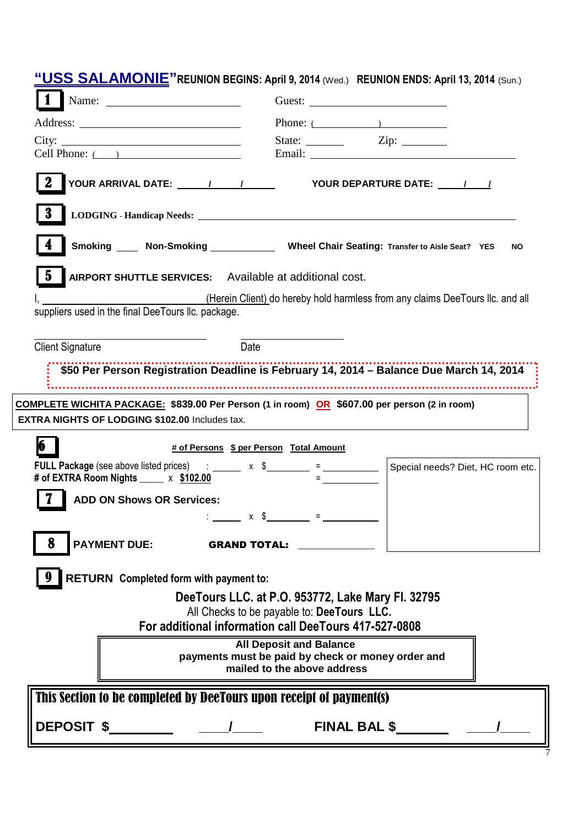| "USS SALAMONIE" REUNION BEGINS: April 9, 2014 (Wed.) REUNION ENDS: April 13, 2014 (Sun.)                                                                                                                                                           |                                                                                                                    |
|----------------------------------------------------------------------------------------------------------------------------------------------------------------------------------------------------------------------------------------------------|--------------------------------------------------------------------------------------------------------------------|
|                                                                                                                                                                                                                                                    | Phone: $($                                                                                                         |
| City: 2008.000 2008.000 2009.000 2009.000 2009.000 2009.000 2009.000 2009.000 2009.000 2009.000 2009.000 2009.000 2009.000 2009.000 2009.000 2009.000 2009.000 2009.000 2009.000 2009.000 2009.000 2009.000 2009.000 2009.000<br>Cell Phone: $($ ) |                                                                                                                    |
|                                                                                                                                                                                                                                                    |                                                                                                                    |
| 3                                                                                                                                                                                                                                                  |                                                                                                                    |
|                                                                                                                                                                                                                                                    | Smoking _____ Non-Smoking _____________ Wheel Chair Seating: Transfer to Aisle Seat? YES<br><b>NO</b>              |
| $\bf{5}$<br><b>AIRPORT SHUTTLE SERVICES:</b> Available at additional cost.                                                                                                                                                                         |                                                                                                                    |
| suppliers used in the final DeeTours IIc. package.                                                                                                                                                                                                 | (Herein Client) do hereby hold harmless from any claims DeeTours IIc. and all                                      |
| <b>Client Signature</b>                                                                                                                                                                                                                            | Date                                                                                                               |
|                                                                                                                                                                                                                                                    | \$50 Per Person Registration Deadline is February 14, 2014 - Balance Due March 14, 2014                            |
|                                                                                                                                                                                                                                                    |                                                                                                                    |
|                                                                                                                                                                                                                                                    |                                                                                                                    |
|                                                                                                                                                                                                                                                    | COMPLETE WICHITA PACKAGE: \$839.00 Per Person (1 in room) OR \$607.00 per person (2 in room)                       |
| <b>EXTRA NIGHTS OF LODGING \$102.00 Includes tax.</b>                                                                                                                                                                                              |                                                                                                                    |
|                                                                                                                                                                                                                                                    | # of Persons \$ per Person Total Amount                                                                            |
| <b>FULL Package</b> (see above listed prices) $\therefore$ $\frac{1}{2}$ x $\frac{1}{2}$ = $\frac{1}{2}$<br># of EXTRA Room Nights _____ x \$102.00                                                                                                | Special needs? Diet, HC room etc.                                                                                  |
| <b>ADD ON Shows OR Services:</b>                                                                                                                                                                                                                   |                                                                                                                    |
|                                                                                                                                                                                                                                                    | $x \quad \$ \qquad =$                                                                                              |
| PAYMENT DUE: GRAND TOTAL:                                                                                                                                                                                                                          |                                                                                                                    |
| RETURN Completed form with payment to:                                                                                                                                                                                                             |                                                                                                                    |
|                                                                                                                                                                                                                                                    | DeeTours LLC. at P.O. 953772, Lake Mary Fl. 32795                                                                  |
|                                                                                                                                                                                                                                                    | All Checks to be payable to: DeeTours LLC.                                                                         |
|                                                                                                                                                                                                                                                    | For additional information call DeeTours 417-527-0808                                                              |
|                                                                                                                                                                                                                                                    | <b>All Deposit and Balance</b><br>payments must be paid by check or money order and<br>mailed to the above address |
| This Section to be completed by DeeTours upon receipt of payment(s)                                                                                                                                                                                |                                                                                                                    |

7